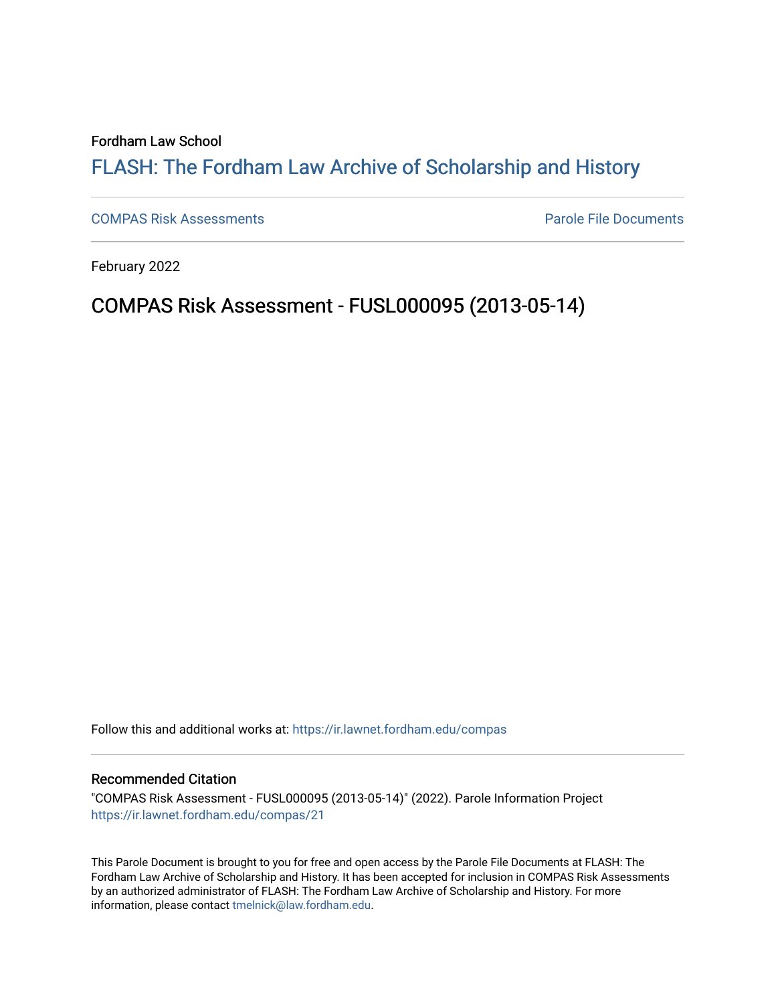Fordham Law School

## FLASH: The For[dham Law Archive of Scholarship and Hist](https://ir.lawnet.fordham.edu/)ory

[COMPAS Risk Assessments](https://ir.lawnet.fordham.edu/compas) [Parole File Documents](https://ir.lawnet.fordham.edu/pbr) 

February 2022

# COMPAS Risk Assessment - FUSL000095 (2013-05-14)

Follow this and additional works at: [https://ir.lawnet.fordham.edu/compas](https://ir.lawnet.fordham.edu/compas?utm_source=ir.lawnet.fordham.edu%2Fcompas%2F21&utm_medium=PDF&utm_campaign=PDFCoverPages)

#### Recommended Citation

"COMPAS Risk Assessment - FUSL000095 (2013-05-14)" (2022). Parole Information Project [https://ir.lawnet.fordham.edu/compas/21](https://ir.lawnet.fordham.edu/compas/21?utm_source=ir.lawnet.fordham.edu%2Fcompas%2F21&utm_medium=PDF&utm_campaign=PDFCoverPages) 

This Parole Document is brought to you for free and open access by the Parole File Documents at FLASH: The Fordham Law Archive of Scholarship and History. It has been accepted for inclusion in COMPAS Risk Assessments by an authorized administrator of FLASH: The Fordham Law Archive of Scholarship and History. For more information, please contact [tmelnick@law.fordham.edu.](mailto:tmelnick@law.fordham.edu)